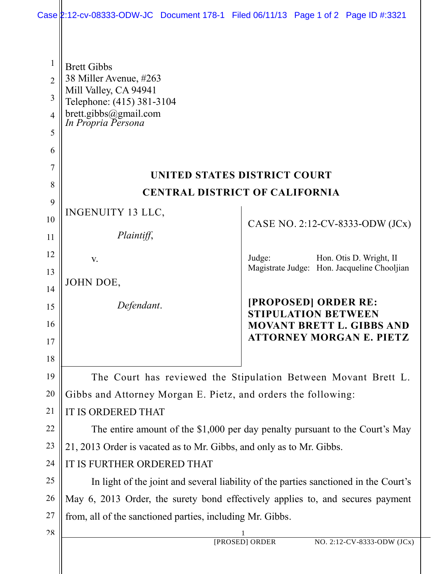|                                                                      | Case 2:12-cv-08333-ODW-JC Document 178-1 Filed 06/11/13 Page 1 of 2 Page ID #:3321                                                                |  |        |                                                    |                                                                     |  |  |
|----------------------------------------------------------------------|---------------------------------------------------------------------------------------------------------------------------------------------------|--|--------|----------------------------------------------------|---------------------------------------------------------------------|--|--|
| $\mathbf{1}$<br>$\overline{2}$<br>3<br>$\overline{4}$<br>5<br>6<br>7 | <b>Brett Gibbs</b><br>38 Miller Avenue, #263<br>Mill Valley, CA 94941<br>Telephone: (415) 381-3104<br>brett.gibbs@gmail.com<br>In Propria Persona |  |        |                                                    |                                                                     |  |  |
| 8                                                                    | UNITED STATES DISTRICT COURT                                                                                                                      |  |        |                                                    |                                                                     |  |  |
| 9                                                                    | <b>CENTRAL DISTRICT OF CALIFORNIA</b>                                                                                                             |  |        |                                                    |                                                                     |  |  |
| 10                                                                   | INGENUITY 13 LLC,                                                                                                                                 |  |        |                                                    | CASE NO. 2:12-CV-8333-ODW (JCx)                                     |  |  |
| 11                                                                   | Plaintiff,                                                                                                                                        |  |        |                                                    |                                                                     |  |  |
| 12                                                                   | V.                                                                                                                                                |  | Judge: |                                                    | Hon. Otis D. Wright, II                                             |  |  |
| 13                                                                   | JOHN DOE,                                                                                                                                         |  |        |                                                    | Magistrate Judge: Hon. Jacqueline Chooljian                         |  |  |
| 14                                                                   |                                                                                                                                                   |  |        |                                                    |                                                                     |  |  |
| 15                                                                   | Defendant.                                                                                                                                        |  |        | [PROPOSED] ORDER RE:<br><b>STIPULATION BETWEEN</b> |                                                                     |  |  |
| 16                                                                   |                                                                                                                                                   |  |        |                                                    | <b>MOVANT BRETT L. GIBBS AND</b><br><b>ATTORNEY MORGAN E. PIETZ</b> |  |  |
| 17                                                                   |                                                                                                                                                   |  |        |                                                    |                                                                     |  |  |
| 18<br>19                                                             |                                                                                                                                                   |  |        |                                                    |                                                                     |  |  |
| 20                                                                   | The Court has reviewed the Stipulation Between Movant Brett L.                                                                                    |  |        |                                                    |                                                                     |  |  |
| 21                                                                   | Gibbs and Attorney Morgan E. Pietz, and orders the following:<br><b>IT IS ORDERED THAT</b>                                                        |  |        |                                                    |                                                                     |  |  |
| 22                                                                   | The entire amount of the \$1,000 per day penalty pursuant to the Court's May                                                                      |  |        |                                                    |                                                                     |  |  |
| 23                                                                   | 21, 2013 Order is vacated as to Mr. Gibbs, and only as to Mr. Gibbs.                                                                              |  |        |                                                    |                                                                     |  |  |
| 24                                                                   | IT IS FURTHER ORDERED THAT                                                                                                                        |  |        |                                                    |                                                                     |  |  |
| 25                                                                   | In light of the joint and several liability of the parties sanctioned in the Court's                                                              |  |        |                                                    |                                                                     |  |  |
| 26                                                                   | May 6, 2013 Order, the surety bond effectively applies to, and secures payment                                                                    |  |        |                                                    |                                                                     |  |  |
| 27                                                                   | from, all of the sanctioned parties, including Mr. Gibbs.                                                                                         |  |        |                                                    |                                                                     |  |  |
| 28                                                                   | NO. 2:12-CV-8333-ODW (JCx)<br>[PROSED] ORDER                                                                                                      |  |        |                                                    |                                                                     |  |  |
|                                                                      |                                                                                                                                                   |  |        |                                                    |                                                                     |  |  |